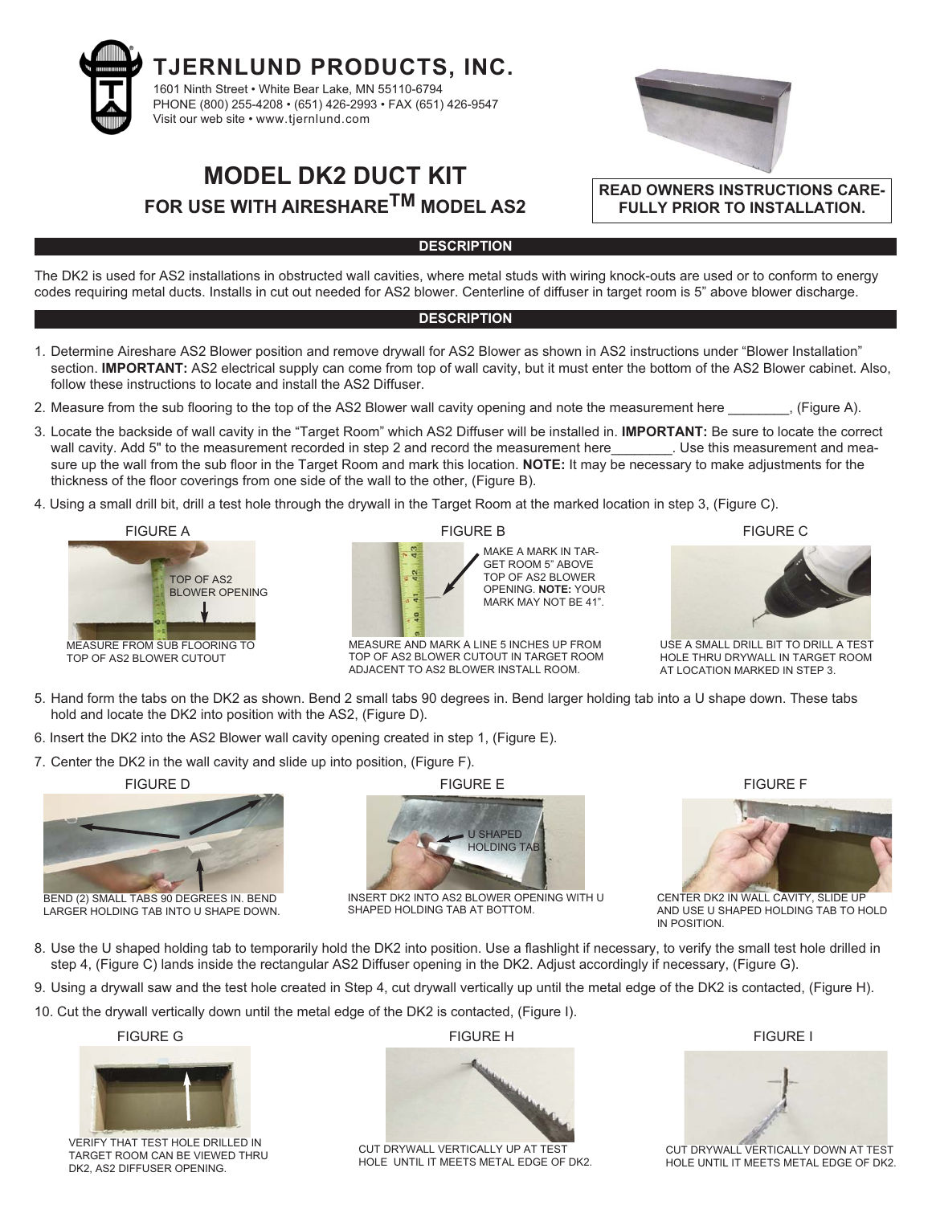

# **MODEL DK2 DUCT KIT FOR USE WITH AIRESHARETM MODEL AS2**



## **READ OWNERS INSTRUCTIONS CARE-FULLY PRIOR TO INSTALLATION.**

### **DESCRIPTION**

The DK2 is used for AS2 installations in obstructed wall cavities, where metal studs with wiring knock-outs are used or to conform to energy codes requiring metal ducts. Installs in cut out needed for AS2 blower. Centerline of diffuser in target room is 5" above blower discharge.

#### **DESCRIPTION**

- 1. Determine Aireshare AS2 Blower position and remove drywall for AS2 Blower as shown in AS2 instructions under "Blower Installation" section. **IMPORTANT:** AS2 electrical supply can come from top of wall cavity, but it must enter the bottom of the AS2 Blower cabinet. Also, follow these instructions to locate and install the AS2 Diffuser.
- 2. Measure from the sub flooring to the top of the AS2 Blower wall cavity opening and note the measurement here  $\left($  (Figure A).
- 3. Locate the backside of wall cavity in the "Target Room" which AS2 Diffuser will be installed in. **IMPORTANT:** Be sure to locate the correct wall cavity. Add 5" to the measurement recorded in step 2 and record the measurement here \_\_\_\_\_\_\_\_. Use this measurement and measure up the wall from the sub floor in the Target Room and mark this location. **NOTE:** It may be necessary to make adjustments for the thickness of the floor coverings from one side of the wall to the other, (Figure B).
- 4. Using a small drill bit, drill a test hole through the drywall in the Target Room at the marked location in step 3, (Figure C).



GET ROOM 5" ABOVE  $\frac{2}{3}$ TOP OF AS2 BLOWER OPENING. **NOTE:** YOUR  $\frac{1}{2}$ MARK MAY NOT BE 41". $\overline{a}$ MEASURE AND MARK A LINE 5 INCHES UP FROM

TOP OF AS2 BLOWER CUTOUT IN TARGET ROOM ADJACENT TO AS2 BLOWER INSTALL ROOM.

FIGURE B

MAKE A MARK IN TAR-

FIGURE C



USE A SMALL DRILL BIT TO DRILL A TEST HOLE THRU DRYWALL IN TARGET ROOM AT LOCATION MARKED IN STEP 3.

- 5. Hand form the tabs on the DK2 as shown. Bend 2 small tabs 90 degrees in. Bend larger holding tab into a U shape down. These tabs hold and locate the DK2 into position with the AS2, (Figure D).
- 6. Insert the DK2 into the AS2 Blower wall cavity opening created in step 1, (Figure E).
- 7. Center the DK2 in the wall cavity and slide up into position, (Figure F).



BEND (2) SMALL TABS 90 DEGREES IN. BEND LARGER HOLDING TAB INTO U SHAPE DOWN.



INSERT DK2 INTO AS2 BLOWER OPENING WITH U SHAPED HOLDING TAB AT BOTTOM.

FIGURE F



CENTER DK2 IN WALL CAVITY, SLIDE UP AND USE U SHAPED HOLDING TAB TO HOLD IN POSITION.

- 8. Use the U shaped holding tab to temporarily hold the DK2 into position. Use a flashlight if necessary, to verify the small test hole drilled in step 4, (Figure C) lands inside the rectangular AS2 Diffuser opening in the DK2. Adjust accordingly if necessary, (Figure G).
- 9. Using a drywall saw and the test hole created in Step 4, cut drywall vertically up until the metal edge of the DK2 is contacted, (Figure H).
- 10. Cut the drywall vertically down until the metal edge of the DK2 is contacted, (Figure I).

FIGURE G



VERIFY THAT TEST HOLE DRILLED IN TARGET ROOM CAN BE VIEWED THRU DK2, AS2 DIFFUSER OPENING.



HOLE UNTIL IT MEETS METAL EDGE OF DK2.

FIGURE I



CUT DRYWALL VERTICALLY DOWN AT TEST HOLE UNTIL IT MEETS METAL EDGE OF DK2.